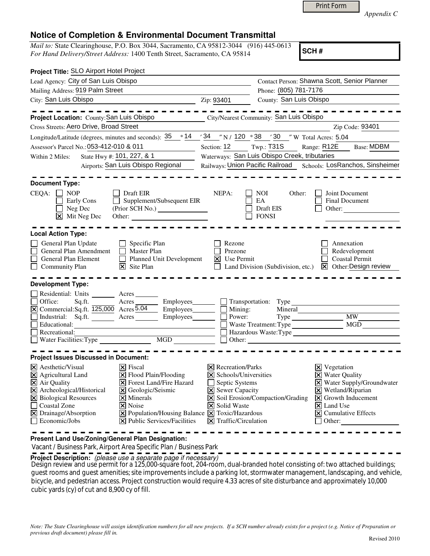Print Form

*Appendix C* 

## **Notice of Completion & Environmental Document Transmittal**

*Mail to:* State Clearinghouse, P.O. Box 3044, Sacramento, CA 95812-3044 (916) 445-0613 *For Hand Delivery/Street Address:* 1400 Tenth Street, Sacramento, CA 95814

**SCH #**

| Project Title: SLO Airport Hotel Project                                                                                                                                                                                                                                                                                                                                                                                                                                                                                   |                                                                                                                                                                         |                                                                                                    |                                                                                                                                                                                                                                                   |  |
|----------------------------------------------------------------------------------------------------------------------------------------------------------------------------------------------------------------------------------------------------------------------------------------------------------------------------------------------------------------------------------------------------------------------------------------------------------------------------------------------------------------------------|-------------------------------------------------------------------------------------------------------------------------------------------------------------------------|----------------------------------------------------------------------------------------------------|---------------------------------------------------------------------------------------------------------------------------------------------------------------------------------------------------------------------------------------------------|--|
| Lead Agency: City of San Luis Obispo                                                                                                                                                                                                                                                                                                                                                                                                                                                                                       | Contact Person: Shawna Scott, Senior Planner                                                                                                                            |                                                                                                    |                                                                                                                                                                                                                                                   |  |
| Mailing Address: 919 Palm Street                                                                                                                                                                                                                                                                                                                                                                                                                                                                                           |                                                                                                                                                                         |                                                                                                    | Phone: (805) 781-7176                                                                                                                                                                                                                             |  |
| City: San Luis Obispo                                                                                                                                                                                                                                                                                                                                                                                                                                                                                                      | Zip: 93401                                                                                                                                                              | County: San Luis Obispo                                                                            |                                                                                                                                                                                                                                                   |  |
| Project Location: County: San Luis Obispo                                                                                                                                                                                                                                                                                                                                                                                                                                                                                  |                                                                                                                                                                         | <b>City/Nearest Community: San Luis Obispo</b>                                                     |                                                                                                                                                                                                                                                   |  |
| Cross Streets: Aero Drive, Broad Street                                                                                                                                                                                                                                                                                                                                                                                                                                                                                    |                                                                                                                                                                         |                                                                                                    | Zip Code: 93401                                                                                                                                                                                                                                   |  |
| Longitude/Latitude (degrees, minutes and seconds): $\frac{35}{25}$ $\degree$ 14 $\degree$ 24 $\degree$ N / 120 $\degree$ 38 $\degree$ 30 $\degree$ W Total Acres: 5.04                                                                                                                                                                                                                                                                                                                                                     |                                                                                                                                                                         |                                                                                                    |                                                                                                                                                                                                                                                   |  |
| Assessor's Parcel No.: 053-412-010 & 011                                                                                                                                                                                                                                                                                                                                                                                                                                                                                   | Section: 12 Twp.: T31S                                                                                                                                                  |                                                                                                    | Range: R12E<br><b>Base: MDBM</b>                                                                                                                                                                                                                  |  |
| State Hwy #: 101, 227, & 1<br>Within 2 Miles:                                                                                                                                                                                                                                                                                                                                                                                                                                                                              |                                                                                                                                                                         | Waterways: San Luis Obispo Creek, tributaries                                                      |                                                                                                                                                                                                                                                   |  |
| Airports: San Luis Obispo Regional                                                                                                                                                                                                                                                                                                                                                                                                                                                                                         |                                                                                                                                                                         |                                                                                                    | Railways: Union Pacific Railroad Schools: LosRanchos, Sinsheimer                                                                                                                                                                                  |  |
| <b>Document Type:</b><br>$CEQA: \Box NP$<br>Draft EIR<br>$\Box$<br>Supplement/Subsequent EIR<br>Early Cons<br>$\Box$<br>Neg Dec<br>$\boxed{\mathsf{X}}$ Mit Neg Dec                                                                                                                                                                                                                                                                                                                                                        | NEPA:                                                                                                                                                                   | NOI.<br>Other:<br>EA<br>Draft EIS<br><b>FONSI</b>                                                  | Joint Document<br><b>Final Document</b><br>Other:                                                                                                                                                                                                 |  |
| <b>Local Action Type:</b>                                                                                                                                                                                                                                                                                                                                                                                                                                                                                                  |                                                                                                                                                                         |                                                                                                    |                                                                                                                                                                                                                                                   |  |
| General Plan Update<br>Specific Plan<br>General Plan Amendment<br><b>Master Plan</b><br>General Plan Element<br>Planned Unit Development<br><b>Community Plan</b><br>$\times$ Site Plan                                                                                                                                                                                                                                                                                                                                    | Rezone<br>Prezone<br>Use Permit<br>Ι×Ι                                                                                                                                  |                                                                                                    | Annexation<br>Redevelopment<br><b>Coastal Permit</b><br>Land Division (Subdivision, etc.) X Other: Design review                                                                                                                                  |  |
| <b>Development Type:</b>                                                                                                                                                                                                                                                                                                                                                                                                                                                                                                   |                                                                                                                                                                         |                                                                                                    |                                                                                                                                                                                                                                                   |  |
| Residential: Units Acres<br>Office:<br>Sq.ft.<br>Acres<br>Employees________<br>$\overline{X}$ Commercial: Sq.ft. $\overline{125,000}$ Acres $\overline{5.04}$<br>Employees________<br>Industrial: Sq.ft. Acres Employees<br>Educational:<br>Recreational:                                                                                                                                                                                                                                                                  | $\blacksquare$ Mining:<br>Power:                                                                                                                                        | Transportation: Type<br>Mineral<br>Waste Treatment: Type<br>Hazardous Waste: Type<br>Other: Other: | MW<br>MGD                                                                                                                                                                                                                                         |  |
|                                                                                                                                                                                                                                                                                                                                                                                                                                                                                                                            |                                                                                                                                                                         |                                                                                                    |                                                                                                                                                                                                                                                   |  |
| <b>Project Issues Discussed in Document:</b>                                                                                                                                                                                                                                                                                                                                                                                                                                                                               |                                                                                                                                                                         |                                                                                                    |                                                                                                                                                                                                                                                   |  |
| $\overline{\mathsf{x}}$ Aesthetic/Visual<br>$\times$ Fiscal<br>$\boxtimes$ Agricultural Land<br>$\Xi$ Flood Plain/Flooding<br>X Forest Land/Fire Hazard<br>X Air Quality<br>X Archeological/Historical<br>X Geologic/Seismic<br>X Biological Resources<br>$\times$ Minerals<br><b>Coastal Zone</b><br>$\vert$ X Noise<br>$\boxed{\mathsf{X}}$ Population/Housing Balance $\boxed{\mathsf{X}}$ Toxic/Hazardous<br>$\boxtimes$ Drainage/Absorption<br>$\Box$ Economic/Jobs<br>$ \mathbf{\times} $ Public Services/Facilities | $\times$ Recreation/Parks<br>$\times$ Schools/Universities<br>Septic Systems<br><b>X</b> Sewer Capacity<br><b>X</b> Solid Waste<br>$\triangleright$ Traffic/Circulation | $\triangleright$ Soil Erosion/Compaction/Grading                                                   | $\boxtimes$ Vegetation<br><b>X</b> Water Quality<br>X Water Supply/Groundwater<br>$\boxtimes$ Wetland/Riparian<br>$\vert\mathbf{X}\vert$ Growth Inducement<br>$ \mathsf{X} $ Land Use<br>$\boxed{\mathsf{X}}$ Cumulative Effects<br>$\Box$ Other: |  |

**Present Land Use/Zoning/General Plan Designation:**

Vacant / Business Park, Airport Area Specific Plan / Business Park

**Project Description:** (please use a separate page if necessary)

 Design review and use permit for a 125,000-square foot, 204-room, dual-branded hotel consisting of: two attached buildings; guest rooms and guest amenities; site improvements include a parking lot, stormwater management, landscaping, and vehicle, bicycle, and pedestrian access. Project construction would require 4.33 acres of site disturbance and approximately 10,000 cubic yards (cy) of cut and 8,900 cy of fill.